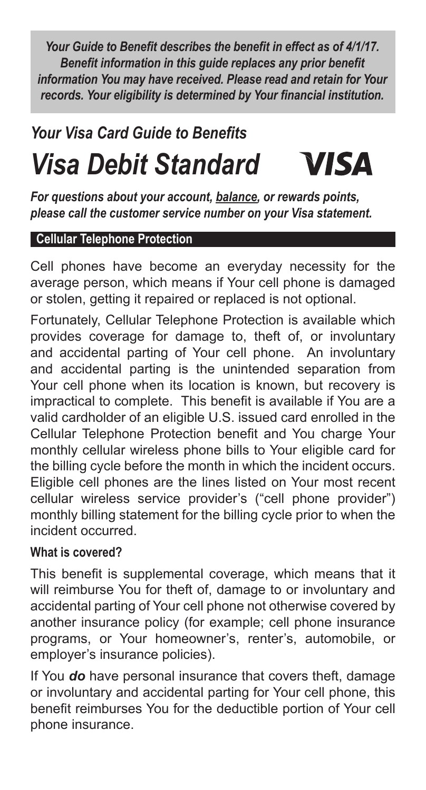*Your Guide to Benefit describes the benefit in effect as of 4/1/17. Benefit information in this guide replaces any prior benefit information You may have received. Please read and retain for Your records. Your eligibility is determined by Your financial institution.*

# *Your Visa Card Guide to Benefits* **VISA** *Visa Debit Standard*

*For questions about your account, balance, or rewards points, please call the customer service number on your Visa statement.*

### **Cellular Telephone Protection**

Cell phones have become an everyday necessity for the average person, which means if Your cell phone is damaged or stolen, getting it repaired or replaced is not optional.

Fortunately, Cellular Telephone Protection is available which provides coverage for damage to, theft of, or involuntary and accidental parting of Your cell phone. An involuntary and accidental parting is the unintended separation from Your cell phone when its location is known, but recovery is impractical to complete. This benefit is available if You are a valid cardholder of an eligible U.S. issued card enrolled in the Cellular Telephone Protection benefit and You charge Your monthly cellular wireless phone bills to Your eligible card for the billing cycle before the month in which the incident occurs. Eligible cell phones are the lines listed on Your most recent cellular wireless service provider's ("cell phone provider") monthly billing statement for the billing cycle prior to when the incident occurred.

#### **What is covered?**

This benefit is supplemental coverage, which means that it will reimburse You for theft of, damage to or involuntary and accidental parting of Your cell phone not otherwise covered by another insurance policy (for example; cell phone insurance programs, or Your homeowner's, renter's, automobile, or employer's insurance policies).

If You *do* have personal insurance that covers theft, damage or involuntary and accidental parting for Your cell phone, this benefit reimburses You for the deductible portion of Your cell phone insurance.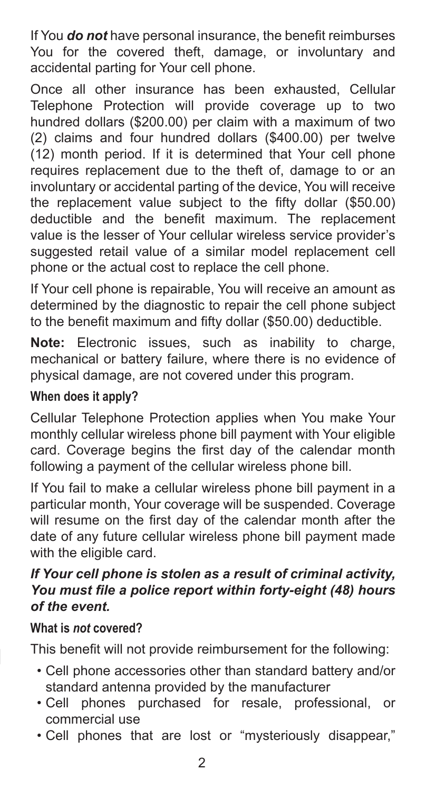If You *do not* have personal insurance, the benefit reimburses You for the covered theft, damage, or involuntary and accidental parting for Your cell phone.

Once all other insurance has been exhausted, Cellular Telephone Protection will provide coverage up to two hundred dollars (\$200.00) per claim with a maximum of two (2) claims and four hundred dollars (\$400.00) per twelve (12) month period. If it is determined that Your cell phone requires replacement due to the theft of, damage to or an involuntary or accidental parting of the device, You will receive the replacement value subject to the fifty dollar (\$50.00) deductible and the benefit maximum. The replacement value is the lesser of Your cellular wireless service provider's suggested retail value of a similar model replacement cell phone or the actual cost to replace the cell phone.

If Your cell phone is repairable, You will receive an amount as determined by the diagnostic to repair the cell phone subject to the benefit maximum and fifty dollar (\$50.00) deductible.

**Note:** Electronic issues, such as inability to charge, mechanical or battery failure, where there is no evidence of physical damage, are not covered under this program.

# **When does it apply?**

Cellular Telephone Protection applies when You make Your monthly cellular wireless phone bill payment with Your eligible card. Coverage begins the first day of the calendar month following a payment of the cellular wireless phone bill.

If You fail to make a cellular wireless phone bill payment in a particular month, Your coverage will be suspended. Coverage will resume on the first day of the calendar month after the date of any future cellular wireless phone bill payment made with the eligible card.

#### *If Your cell phone is stolen as a result of criminal activity, You must file a police report within forty-eight (48) hours of the event.*

#### **What is** *not* **covered?**

This benefit will not provide reimbursement for the following:

- Cell phone accessories other than standard battery and/or standard antenna provided by the manufacturer
- Cell phones purchased for resale, professional, or commercial use
- Cell phones that are lost or "mysteriously disappear,"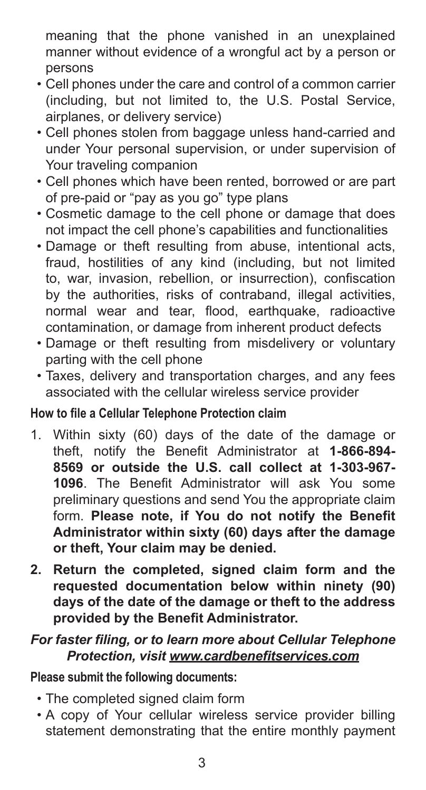meaning that the phone vanished in an unexplained manner without evidence of a wrongful act by a person or persons

- Cell phones under the care and control of a common carrier (including, but not limited to, the U.S. Postal Service, airplanes, or delivery service)
- Cell phones stolen from baggage unless hand-carried and under Your personal supervision, or under supervision of Your traveling companion
- Cell phones which have been rented, borrowed or are part of pre-paid or "pay as you go" type plans
- Cosmetic damage to the cell phone or damage that does not impact the cell phone's capabilities and functionalities
- Damage or theft resulting from abuse, intentional acts, fraud, hostilities of any kind (including, but not limited to, war, invasion, rebellion, or insurrection), confiscation by the authorities, risks of contraband, illegal activities, normal wear and tear, flood, earthquake, radioactive contamination, or damage from inherent product defects
- Damage or theft resulting from misdelivery or voluntary parting with the cell phone
- Taxes, delivery and transportation charges, and any fees associated with the cellular wireless service provider

#### **How to file a Cellular Telephone Protection claim**

- 1. Within sixty (60) days of the date of the damage or theft, notify the Benefit Administrator at **1-866-894- 8569 or outside the U.S. call collect at 1-303-967- 1096**. The Benefit Administrator will ask You some preliminary questions and send You the appropriate claim form. **Please note, if You do not notify the Benefit Administrator within sixty (60) days after the damage or theft, Your claim may be denied.**
- **2. Return the completed, signed claim form and the requested documentation below within ninety (90) days of the date of the damage or theft to the address provided by the Benefit Administrator.**

### *For faster filing, or to learn more about Cellular Telephone Protection, visit www.cardbenefitservices.com*

**Please submit the following documents:**

- The completed signed claim form
- A copy of Your cellular wireless service provider billing statement demonstrating that the entire monthly payment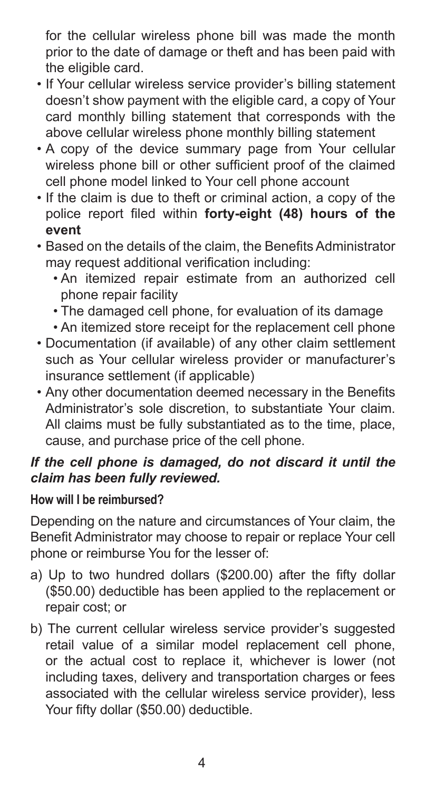for the cellular wireless phone bill was made the month prior to the date of damage or theft and has been paid with the eligible card.

- If Your cellular wireless service provider's billing statement doesn't show payment with the eligible card, a copy of Your card monthly billing statement that corresponds with the above cellular wireless phone monthly billing statement
- A copy of the device summary page from Your cellular wireless phone bill or other sufficient proof of the claimed cell phone model linked to Your cell phone account
- If the claim is due to theft or criminal action, a copy of the police report filed within **forty-eight (48) hours of the event**
- Based on the details of the claim, the Benefits Administrator may request additional verification including:
	- An itemized repair estimate from an authorized cell phone repair facility
	- The damaged cell phone, for evaluation of its damage
	- An itemized store receipt for the replacement cell phone
- Documentation (if available) of any other claim settlement such as Your cellular wireless provider or manufacturer's insurance settlement (if applicable)
- Any other documentation deemed necessary in the Benefits Administrator's sole discretion, to substantiate Your claim. All claims must be fully substantiated as to the time, place, cause, and purchase price of the cell phone.

### *If the cell phone is damaged, do not discard it until the claim has been fully reviewed.*

# **How will I be reimbursed?**

Depending on the nature and circumstances of Your claim, the Benefit Administrator may choose to repair or replace Your cell phone or reimburse You for the lesser of:

- a) Up to two hundred dollars (\$200.00) after the fifty dollar (\$50.00) deductible has been applied to the replacement or repair cost; or
- b) The current cellular wireless service provider's suggested retail value of a similar model replacement cell phone, or the actual cost to replace it, whichever is lower (not including taxes, delivery and transportation charges or fees associated with the cellular wireless service provider), less Your fifty dollar (\$50.00) deductible.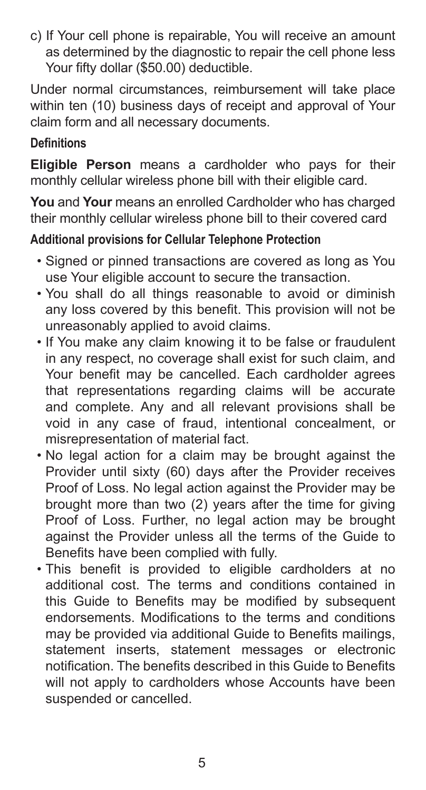c) If Your cell phone is repairable, You will receive an amount as determined by the diagnostic to repair the cell phone less Your fifty dollar (\$50.00) deductible.

Under normal circumstances, reimbursement will take place within ten (10) business days of receipt and approval of Your claim form and all necessary documents.

#### **Definitions**

**Eligible Person** means a cardholder who pays for their monthly cellular wireless phone bill with their eligible card.

**You** and **Your** means an enrolled Cardholder who has charged their monthly cellular wireless phone bill to their covered card

# **Additional provisions for Cellular Telephone Protection**

- Signed or pinned transactions are covered as long as You use Your eligible account to secure the transaction.
- You shall do all things reasonable to avoid or diminish any loss covered by this benefit. This provision will not be unreasonably applied to avoid claims.
- If You make any claim knowing it to be false or fraudulent in any respect, no coverage shall exist for such claim, and Your benefit may be cancelled. Each cardholder agrees that representations regarding claims will be accurate and complete. Any and all relevant provisions shall be void in any case of fraud, intentional concealment, or misrepresentation of material fact.
- No legal action for a claim may be brought against the Provider until sixty (60) days after the Provider receives Proof of Loss. No legal action against the Provider may be brought more than two (2) years after the time for giving Proof of Loss. Further, no legal action may be brought against the Provider unless all the terms of the Guide to Benefits have been complied with fully.
- This benefit is provided to eligible cardholders at no additional cost. The terms and conditions contained in this Guide to Benefits may be modified by subsequent endorsements. Modifications to the terms and conditions may be provided via additional Guide to Benefits mailings, statement inserts, statement messages or electronic notification. The benefits described in this Guide to Benefits will not apply to cardholders whose Accounts have been suspended or cancelled.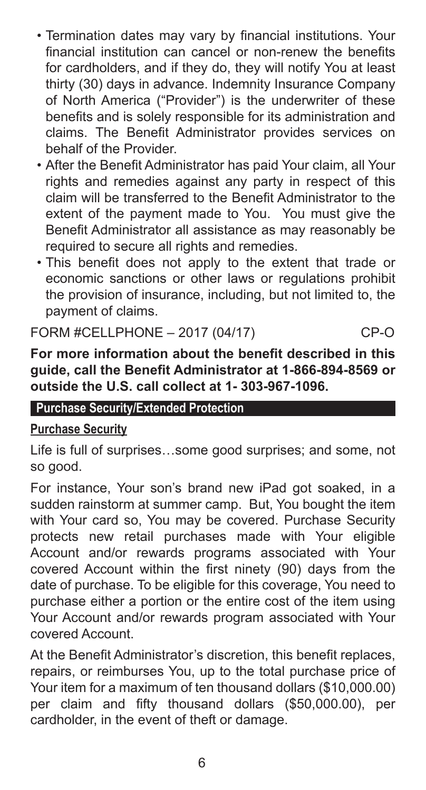- Termination dates may vary by financial institutions. Your financial institution can cancel or non-renew the benefits for cardholders, and if they do, they will notify You at least thirty (30) days in advance. Indemnity Insurance Company of North America ("Provider") is the underwriter of these benefits and is solely responsible for its administration and claims. The Benefit Administrator provides services on behalf of the Provider.
- After the Benefit Administrator has paid Your claim, all Your rights and remedies against any party in respect of this claim will be transferred to the Benefit Administrator to the extent of the payment made to You. You must give the Benefit Administrator all assistance as may reasonably be required to secure all rights and remedies.
- This benefit does not apply to the extent that trade or economic sanctions or other laws or regulations prohibit the provision of insurance, including, but not limited to, the payment of claims.

FORM #CELLPHONE – 2017 (04/17) CP-O

**For more information about the benefit described in this guide, call the Benefit Administrator at 1-866-894-8569 or outside the U.S. call collect at 1- 303-967-1096.**

#### **Purchase Security/Extended Protection**

#### **Purchase Security**

Life is full of surprises…some good surprises; and some, not so good.

For instance, Your son's brand new iPad got soaked, in a sudden rainstorm at summer camp. But, You bought the item with Your card so, You may be covered. Purchase Security protects new retail purchases made with Your eligible Account and/or rewards programs associated with Your covered Account within the first ninety (90) days from the date of purchase. To be eligible for this coverage, You need to purchase either a portion or the entire cost of the item using Your Account and/or rewards program associated with Your covered Account.

At the Benefit Administrator's discretion, this benefit replaces, repairs, or reimburses You, up to the total purchase price of Your item for a maximum of ten thousand dollars (\$10,000.00) per claim and fifty thousand dollars (\$50,000.00), per cardholder, in the event of theft or damage.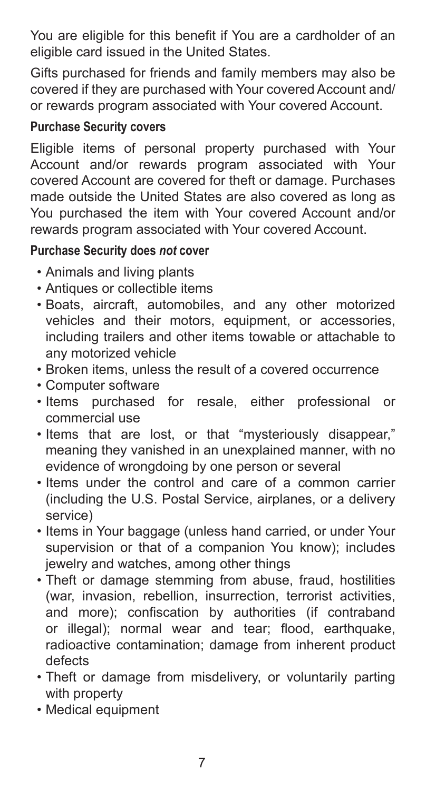You are eligible for this benefit if You are a cardholder of an eligible card issued in the United States.

Gifts purchased for friends and family members may also be covered if they are purchased with Your covered Account and/ or rewards program associated with Your covered Account.

#### **Purchase Security covers**

Eligible items of personal property purchased with Your Account and/or rewards program associated with Your covered Account are covered for theft or damage. Purchases made outside the United States are also covered as long as You purchased the item with Your covered Account and/or rewards program associated with Your covered Account.

### **Purchase Security does** *not* **cover**

- Animals and living plants
- Antiques or collectible items
- Boats, aircraft, automobiles, and any other motorized vehicles and their motors, equipment, or accessories, including trailers and other items towable or attachable to any motorized vehicle
- Broken items, unless the result of a covered occurrence
- Computer software
- Items purchased for resale, either professional or commercial use
- Items that are lost, or that "mysteriously disappear," meaning they vanished in an unexplained manner, with no evidence of wrongdoing by one person or several
- Items under the control and care of a common carrier (including the U.S. Postal Service, airplanes, or a delivery service)
- Items in Your baggage (unless hand carried, or under Your supervision or that of a companion You know); includes jewelry and watches, among other things
- Theft or damage stemming from abuse, fraud, hostilities (war, invasion, rebellion, insurrection, terrorist activities, and more); confiscation by authorities (if contraband or illegal); normal wear and tear; flood, earthquake, radioactive contamination; damage from inherent product defects
- Theft or damage from misdelivery, or voluntarily parting with property
- Medical equipment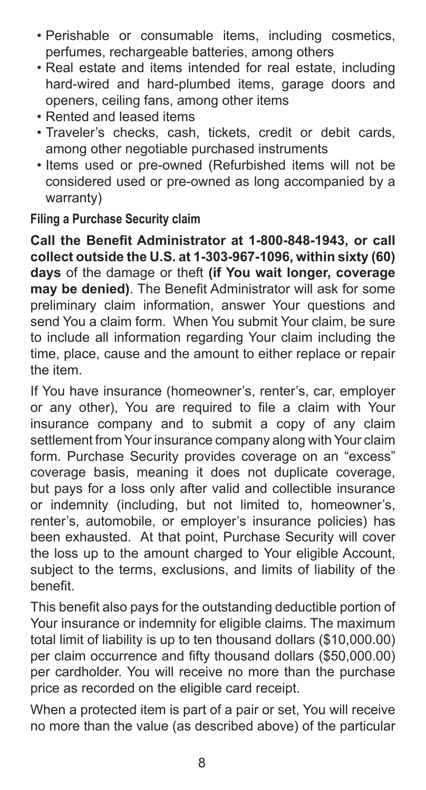- Perishable or consumable items, including cosmetics, perfumes, rechargeable batteries, among others
- Real estate and items intended for real estate, including hard-wired and hard-plumbed items, garage doors and openers, ceiling fans, among other items
- Rented and leased items
- Traveler's checks, cash, tickets, credit or debit cards, among other negotiable purchased instruments
- Items used or pre-owned (Refurbished items will not be considered used or pre-owned as long accompanied by a warranty)

### **Filing a Purchase Security claim**

**Call the Benefit Administrator at 1-800-848-1943, or call collect outside the U.S. at 1-303-967-1096, within sixty (60) days** of the damage or theft **(if You wait longer, coverage may be denied)**. The Benefit Administrator will ask for some preliminary claim information, answer Your questions and send You a claim form. When You submit Your claim, be sure to include all information regarding Your claim including the time, place, cause and the amount to either replace or repair the item.

If You have insurance (homeowner's, renter's, car, employer or any other), You are required to file a claim with Your insurance company and to submit a copy of any claim settlement from Your insurance company along with Your claim form. Purchase Security provides coverage on an "excess" coverage basis, meaning it does not duplicate coverage, but pays for a loss only after valid and collectible insurance or indemnity (including, but not limited to, homeowner's, renter's, automobile, or employer's insurance policies) has been exhausted. At that point, Purchase Security will cover the loss up to the amount charged to Your eligible Account, subject to the terms, exclusions, and limits of liability of the benefit.

This benefit also pays for the outstanding deductible portion of Your insurance or indemnity for eligible claims. The maximum total limit of liability is up to ten thousand dollars (\$10,000.00) per claim occurrence and fifty thousand dollars (\$50,000.00) per cardholder. You will receive no more than the purchase price as recorded on the eligible card receipt.

When a protected item is part of a pair or set, You will receive no more than the value (as described above) of the particular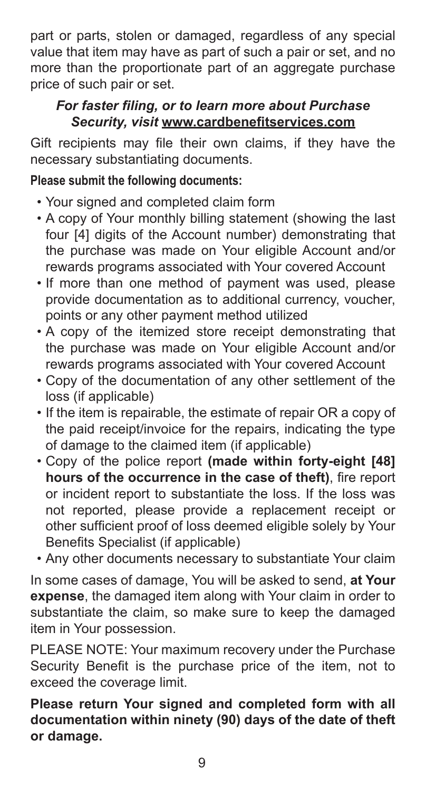part or parts, stolen or damaged, regardless of any special value that item may have as part of such a pair or set, and no more than the proportionate part of an aggregate purchase price of such pair or set.

# *For faster filing, or to learn more about Purchase Security, visit* **www.cardbenefitservices.com**

Gift recipients may file their own claims, if they have the necessary substantiating documents.

### **Please submit the following documents:**

- Your signed and completed claim form
- A copy of Your monthly billing statement (showing the last four [4] digits of the Account number) demonstrating that the purchase was made on Your eligible Account and/or rewards programs associated with Your covered Account
- If more than one method of payment was used, please provide documentation as to additional currency, voucher, points or any other payment method utilized
- A copy of the itemized store receipt demonstrating that the purchase was made on Your eligible Account and/or rewards programs associated with Your covered Account
- Copy of the documentation of any other settlement of the loss (if applicable)
- If the item is repairable, the estimate of repair OR a copy of the paid receipt/invoice for the repairs, indicating the type of damage to the claimed item (if applicable)
- Copy of the police report **(made within forty-eight [48] hours of the occurrence in the case of theft)**, fire report or incident report to substantiate the loss. If the loss was not reported, please provide a replacement receipt or other sufficient proof of loss deemed eligible solely by Your Benefits Specialist (if applicable)
- Any other documents necessary to substantiate Your claim

In some cases of damage, You will be asked to send, **at Your expense**, the damaged item along with Your claim in order to substantiate the claim, so make sure to keep the damaged item in Your possession.

PLEASE NOTE: Your maximum recovery under the Purchase Security Benefit is the purchase price of the item, not to exceed the coverage limit.

**Please return Your signed and completed form with all documentation within ninety (90) days of the date of theft or damage.**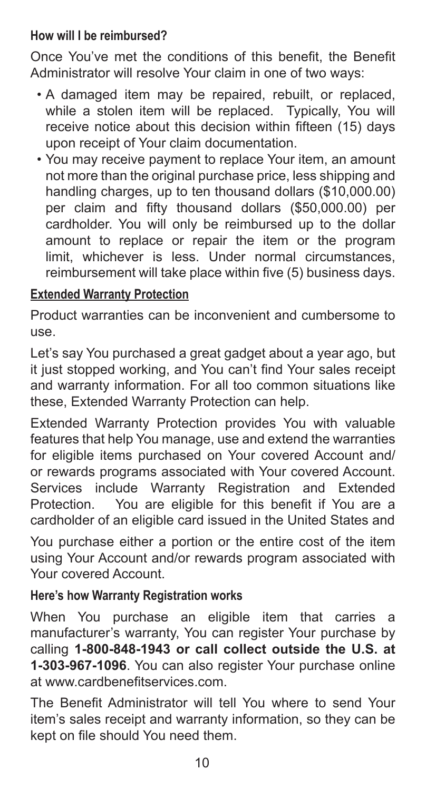#### **How will I be reimbursed?**

Once You've met the conditions of this benefit, the Benefit Administrator will resolve Your claim in one of two ways:

- A damaged item may be repaired, rebuilt, or replaced, while a stolen item will be replaced. Typically, You will receive notice about this decision within fifteen (15) days upon receipt of Your claim documentation.
- You may receive payment to replace Your item, an amount not more than the original purchase price, less shipping and handling charges, up to ten thousand dollars (\$10,000.00) per claim and fifty thousand dollars (\$50,000.00) per cardholder. You will only be reimbursed up to the dollar amount to replace or repair the item or the program limit, whichever is less. Under normal circumstances, reimbursement will take place within five (5) business days.

# **Extended Warranty Protection**

Product warranties can be inconvenient and cumbersome to use.

Let's say You purchased a great gadget about a year ago, but it just stopped working, and You can't find Your sales receipt and warranty information. For all too common situations like these, Extended Warranty Protection can help.

Extended Warranty Protection provides You with valuable features that help You manage, use and extend the warranties for eligible items purchased on Your covered Account and/ or rewards programs associated with Your covered Account. Services include Warranty Registration and Extended Protection. You are eligible for this benefit if You are a cardholder of an eligible card issued in the United States and

You purchase either a portion or the entire cost of the item using Your Account and/or rewards program associated with Your covered Account.

# **Here's how Warranty Registration works**

When You purchase an eligible item that carries a manufacturer's warranty, You can register Your purchase by calling **1-800-848-1943 or call collect outside the U.S. at 1-303-967-1096**. You can also register Your purchase online at www.cardbenefitservices.com.

The Benefit Administrator will tell You where to send Your item's sales receipt and warranty information, so they can be kept on file should You need them.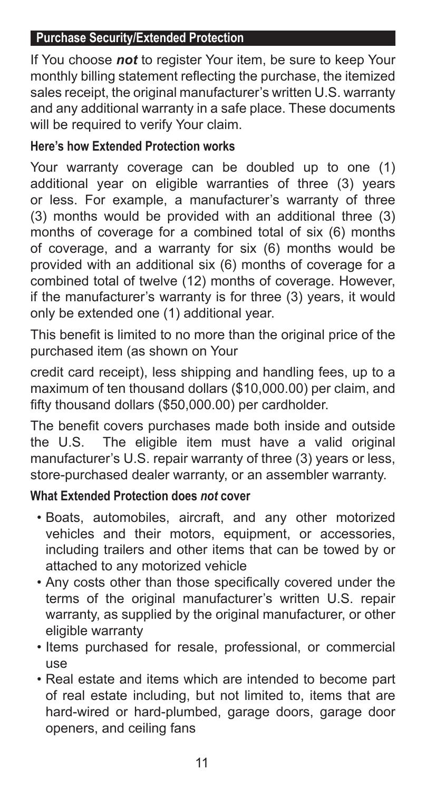#### **Purchase Security/Extended Protection**

If You choose *not* to register Your item, be sure to keep Your monthly billing statement reflecting the purchase, the itemized sales receipt, the original manufacturer's written U.S. warranty and any additional warranty in a safe place. These documents will be required to verify Your claim.

# **Here's how Extended Protection works**

Your warranty coverage can be doubled up to one (1) additional year on eligible warranties of three (3) years or less. For example, a manufacturer's warranty of three (3) months would be provided with an additional three (3) months of coverage for a combined total of six (6) months of coverage, and a warranty for six (6) months would be provided with an additional six (6) months of coverage for a combined total of twelve (12) months of coverage. However, if the manufacturer's warranty is for three (3) years, it would only be extended one (1) additional year.

This benefit is limited to no more than the original price of the purchased item (as shown on Your

credit card receipt), less shipping and handling fees, up to a maximum of ten thousand dollars (\$10,000.00) per claim, and fifty thousand dollars (\$50,000.00) per cardholder.

The benefit covers purchases made both inside and outside the U.S. The eligible item must have a valid original manufacturer's U.S. repair warranty of three (3) years or less, store-purchased dealer warranty, or an assembler warranty.

#### **What Extended Protection does** *not* **cover**

- Boats, automobiles, aircraft, and any other motorized vehicles and their motors, equipment, or accessories, including trailers and other items that can be towed by or attached to any motorized vehicle
- Any costs other than those specifically covered under the terms of the original manufacturer's written U.S. repair warranty, as supplied by the original manufacturer, or other eligible warranty
- Items purchased for resale, professional, or commercial use
- Real estate and items which are intended to become part of real estate including, but not limited to, items that are hard-wired or hard-plumbed, garage doors, garage door openers, and ceiling fans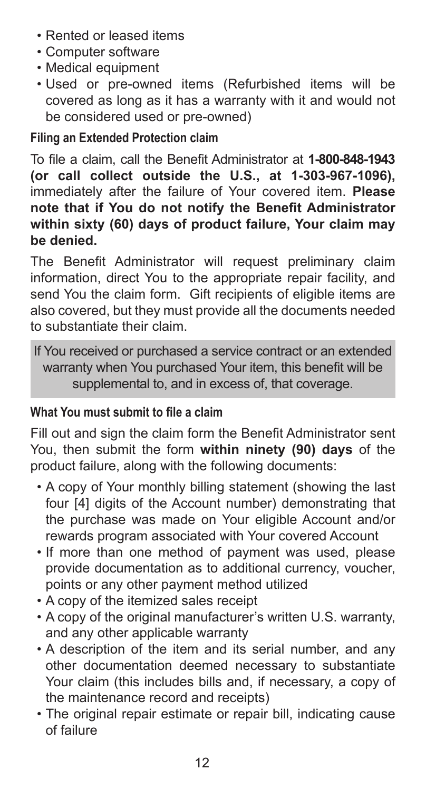- Rented or leased items
- Computer software
- Medical equipment
- Used or pre-owned items (Refurbished items will be covered as long as it has a warranty with it and would not be considered used or pre-owned)

# **Filing an Extended Protection claim**

To file a claim, call the Benefit Administrator at **1-800-848-1943 (or call collect outside the U.S., at 1-303-967-1096),**  immediately after the failure of Your covered item. **Please note that if You do not notify the Benefit Administrator within sixty (60) days of product failure, Your claim may be denied.**

The Benefit Administrator will request preliminary claim information, direct You to the appropriate repair facility, and send You the claim form. Gift recipients of eligible items are also covered, but they must provide all the documents needed to substantiate their claim.

If You received or purchased a service contract or an extended warranty when You purchased Your item, this benefit will be supplemental to, and in excess of, that coverage.

# **What You must submit to file a claim**

Fill out and sign the claim form the Benefit Administrator sent You, then submit the form **within ninety (90) days** of the product failure, along with the following documents:

- A copy of Your monthly billing statement (showing the last four [4] digits of the Account number) demonstrating that the purchase was made on Your eligible Account and/or rewards program associated with Your covered Account
- If more than one method of payment was used, please provide documentation as to additional currency, voucher, points or any other payment method utilized
- A copy of the itemized sales receipt
- A copy of the original manufacturer's written U.S. warranty, and any other applicable warranty
- A description of the item and its serial number, and any other documentation deemed necessary to substantiate Your claim (this includes bills and, if necessary, a copy of the maintenance record and receipts)
- The original repair estimate or repair bill, indicating cause of failure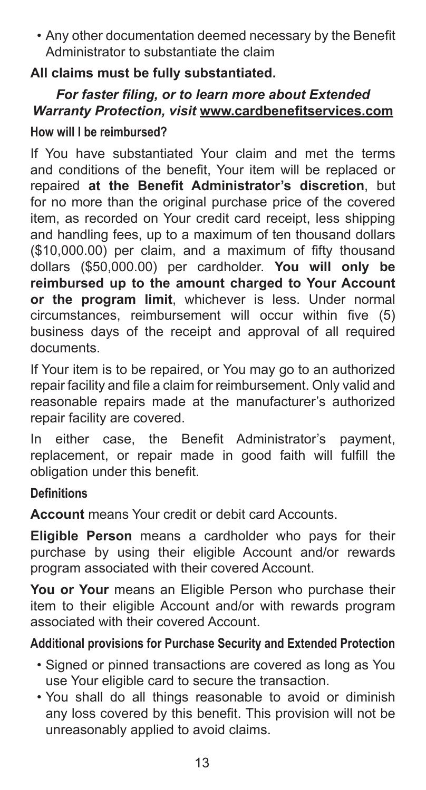• Any other documentation deemed necessary by the Benefit Administrator to substantiate the claim

# **All claims must be fully substantiated.**

# *For faster filing, or to learn more about Extended Warranty Protection, visit* **www.cardbenefitservices.com**

#### **How will I be reimbursed?**

If You have substantiated Your claim and met the terms and conditions of the benefit, Your item will be replaced or repaired **at the Benefit Administrator's discretion**, but for no more than the original purchase price of the covered item, as recorded on Your credit card receipt, less shipping and handling fees, up to a maximum of ten thousand dollars (\$10,000.00) per claim, and a maximum of fifty thousand dollars (\$50,000.00) per cardholder. **You will only be reimbursed up to the amount charged to Your Account or the program limit**, whichever is less. Under normal circumstances, reimbursement will occur within five (5) business days of the receipt and approval of all required documents.

If Your item is to be repaired, or You may go to an authorized repair facility and file a claim for reimbursement. Only valid and reasonable repairs made at the manufacturer's authorized repair facility are covered.

In either case, the Benefit Administrator's payment, replacement, or repair made in good faith will fulfill the obligation under this benefit.

#### **Definitions**

**Account** means Your credit or debit card Accounts.

**Eligible Person** means a cardholder who pays for their purchase by using their eligible Account and/or rewards program associated with their covered Account.

**You or Your** means an Eligible Person who purchase their item to their eligible Account and/or with rewards program associated with their covered Account.

# **Additional provisions for Purchase Security and Extended Protection**

- Signed or pinned transactions are covered as long as You use Your eligible card to secure the transaction.
- You shall do all things reasonable to avoid or diminish any loss covered by this benefit. This provision will not be unreasonably applied to avoid claims.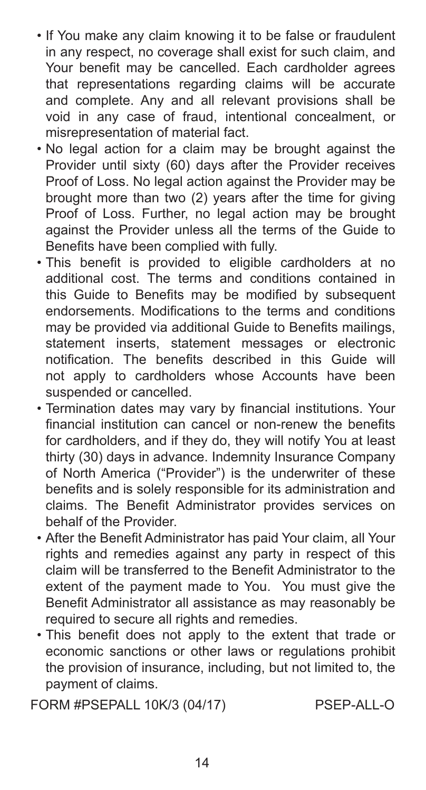- If You make any claim knowing it to be false or fraudulent in any respect, no coverage shall exist for such claim, and Your benefit may be cancelled. Each cardholder agrees that representations regarding claims will be accurate and complete. Any and all relevant provisions shall be void in any case of fraud, intentional concealment, or misrepresentation of material fact.
- No legal action for a claim may be brought against the Provider until sixty (60) days after the Provider receives Proof of Loss. No legal action against the Provider may be brought more than two (2) years after the time for giving Proof of Loss. Further, no legal action may be brought against the Provider unless all the terms of the Guide to Benefits have been complied with fully.
- This benefit is provided to eligible cardholders at no additional cost. The terms and conditions contained in this Guide to Benefits may be modified by subsequent endorsements. Modifications to the terms and conditions may be provided via additional Guide to Benefits mailings, statement inserts, statement messages or electronic notification. The benefits described in this Guide will not apply to cardholders whose Accounts have been suspended or cancelled.
- Termination dates may vary by financial institutions. Your financial institution can cancel or non-renew the benefits for cardholders, and if they do, they will notify You at least thirty (30) days in advance. Indemnity Insurance Company of North America ("Provider") is the underwriter of these benefits and is solely responsible for its administration and claims. The Benefit Administrator provides services on behalf of the Provider.
- After the Benefit Administrator has paid Your claim, all Your rights and remedies against any party in respect of this claim will be transferred to the Benefit Administrator to the extent of the payment made to You. You must give the Benefit Administrator all assistance as may reasonably be required to secure all rights and remedies.
- This benefit does not apply to the extent that trade or economic sanctions or other laws or regulations prohibit the provision of insurance, including, but not limited to, the payment of claims.

FORM #PSEPALL 10K/3 (04/17) PSEP-ALL-O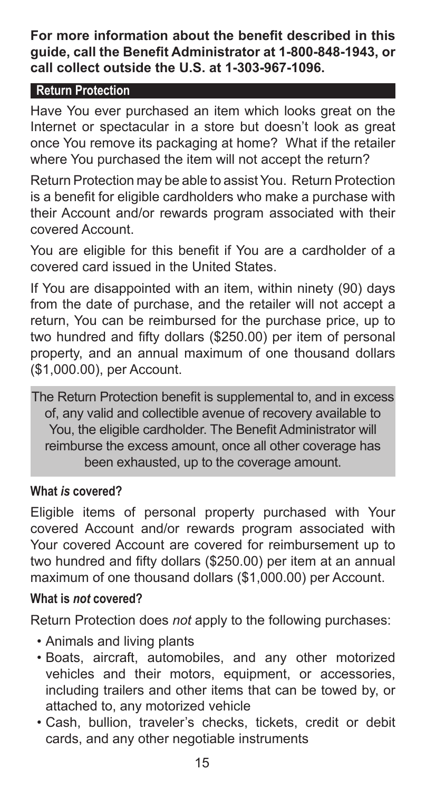**For more information about the benefit described in this guide, call the Benefit Administrator at 1-800-848-1943, or call collect outside the U.S. at 1-303-967-1096.**

### **Return Protection**

Have You ever purchased an item which looks great on the Internet or spectacular in a store but doesn't look as great once You remove its packaging at home? What if the retailer where You purchased the item will not accept the return?

Return Protection may be able to assist You. Return Protection is a benefit for eligible cardholders who make a purchase with their Account and/or rewards program associated with their covered Account.

You are eligible for this benefit if You are a cardholder of a covered card issued in the United States.

If You are disappointed with an item, within ninety (90) days from the date of purchase, and the retailer will not accept a return, You can be reimbursed for the purchase price, up to two hundred and fifty dollars (\$250.00) per item of personal property, and an annual maximum of one thousand dollars (\$1,000.00), per Account.

The Return Protection benefit is supplemental to, and in excess of, any valid and collectible avenue of recovery available to You, the eligible cardholder. The Benefit Administrator will reimburse the excess amount, once all other coverage has been exhausted, up to the coverage amount.

# **What** *is* **covered?**

Eligible items of personal property purchased with Your covered Account and/or rewards program associated with Your covered Account are covered for reimbursement up to two hundred and fifty dollars (\$250.00) per item at an annual maximum of one thousand dollars (\$1,000.00) per Account.

# **What is** *not* **covered?**

Return Protection does *not* apply to the following purchases:

- Animals and living plants
- Boats, aircraft, automobiles, and any other motorized vehicles and their motors, equipment, or accessories, including trailers and other items that can be towed by, or attached to, any motorized vehicle
- Cash, bullion, traveler's checks, tickets, credit or debit cards, and any other negotiable instruments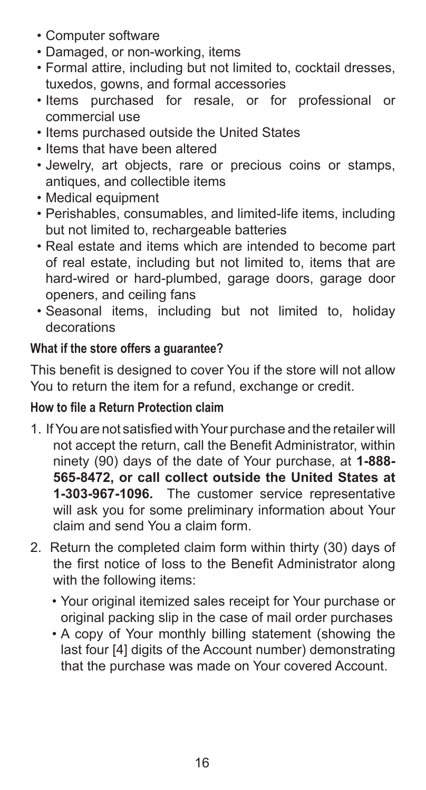- Computer software
- Damaged, or non-working, items
- Formal attire, including but not limited to, cocktail dresses, tuxedos, gowns, and formal accessories
- Items purchased for resale, or for professional or commercial use
- Items purchased outside the United States
- Items that have been altered
- Jewelry, art objects, rare or precious coins or stamps, antiques, and collectible items
- Medical equipment
- Perishables, consumables, and limited-life items, including but not limited to, rechargeable batteries
- Real estate and items which are intended to become part of real estate, including but not limited to, items that are hard-wired or hard-plumbed, garage doors, garage door openers, and ceiling fans
- Seasonal items, including but not limited to, holiday decorations

# **What if the store offers a guarantee?**

This benefit is designed to cover You if the store will not allow You to return the item for a refund, exchange or credit.

# **How to file a Return Protection claim**

- 1. If You are not satisfied with Your purchase and the retailer will not accept the return, call the Benefit Administrator, within ninety (90) days of the date of Your purchase, at **1-888- 565-8472, or call collect outside the United States at 1-303-967-1096.** The customer service representative will ask you for some preliminary information about Your claim and send You a claim form.
- 2. Return the completed claim form within thirty (30) days of the first notice of loss to the Benefit Administrator along with the following items:
	- Your original itemized sales receipt for Your purchase or original packing slip in the case of mail order purchases
	- A copy of Your monthly billing statement (showing the last four [4] digits of the Account number) demonstrating that the purchase was made on Your covered Account.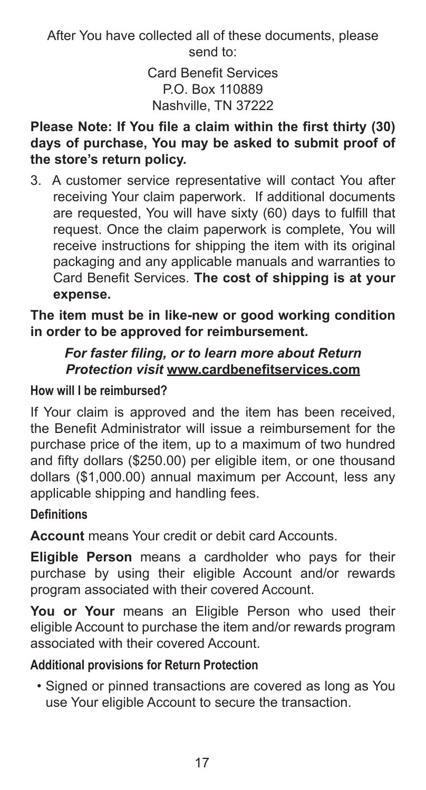After You have collected all of these documents, please send to:

> Card Benefit Services P.O. Box 110889 Nashville, TN 37222

### **Please Note: If You file a claim within the first thirty (30) days of purchase, You may be asked to submit proof of the store's return policy.**

3. A customer service representative will contact You after receiving Your claim paperwork. If additional documents are requested, You will have sixty (60) days to fulfill that request. Once the claim paperwork is complete, You will receive instructions for shipping the item with its original packaging and any applicable manuals and warranties to Card Benefit Services. **The cost of shipping is at your expense.** 

**The item must be in like-new or good working condition in order to be approved for reimbursement.** 

#### *For faster filing, or to learn more about Return Protection visit* **www.cardbenefitservices.com**

# **How will I be reimbursed?**

If Your claim is approved and the item has been received, the Benefit Administrator will issue a reimbursement for the purchase price of the item, up to a maximum of two hundred and fifty dollars (\$250.00) per eligible item, or one thousand dollars (\$1,000.00) annual maximum per Account, less any applicable shipping and handling fees.

# **Definitions**

**Account** means Your credit or debit card Accounts.

**Eligible Person** means a cardholder who pays for their purchase by using their eligible Account and/or rewards program associated with their covered Account.

**You or Your** means an Eligible Person who used their eligible Account to purchase the item and/or rewards program associated with their covered Account.

# **Additional provisions for Return Protection**

• Signed or pinned transactions are covered as long as You use Your eligible Account to secure the transaction.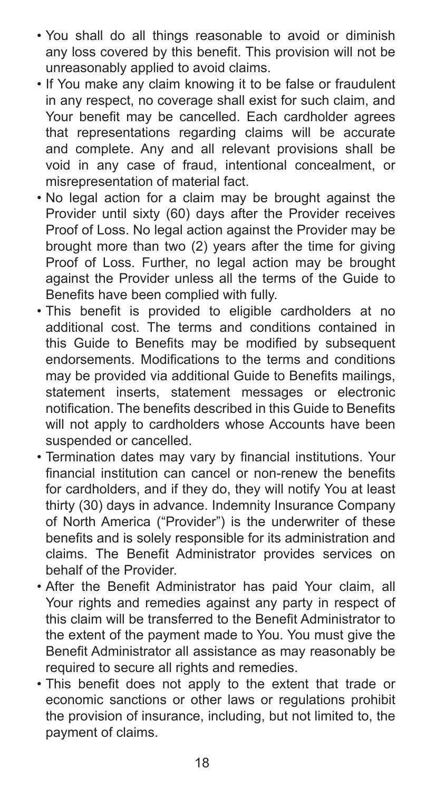- You shall do all things reasonable to avoid or diminish any loss covered by this benefit. This provision will not be unreasonably applied to avoid claims.
- If You make any claim knowing it to be false or fraudulent in any respect, no coverage shall exist for such claim, and Your benefit may be cancelled. Each cardholder agrees that representations regarding claims will be accurate and complete. Any and all relevant provisions shall be void in any case of fraud, intentional concealment, or misrepresentation of material fact.
- No legal action for a claim may be brought against the Provider until sixty (60) days after the Provider receives Proof of Loss. No legal action against the Provider may be brought more than two (2) years after the time for giving Proof of Loss. Further, no legal action may be brought against the Provider unless all the terms of the Guide to Benefits have been complied with fully.
- This benefit is provided to eligible cardholders at no additional cost. The terms and conditions contained in this Guide to Benefits may be modified by subsequent endorsements. Modifications to the terms and conditions may be provided via additional Guide to Benefits mailings, statement inserts, statement messages or electronic notification. The benefits described in this Guide to Benefits will not apply to cardholders whose Accounts have been suspended or cancelled.
- Termination dates may vary by financial institutions. Your financial institution can cancel or non-renew the benefits for cardholders, and if they do, they will notify You at least thirty (30) days in advance. Indemnity Insurance Company of North America ("Provider") is the underwriter of these benefits and is solely responsible for its administration and claims. The Benefit Administrator provides services on behalf of the Provider.
- After the Benefit Administrator has paid Your claim, all Your rights and remedies against any party in respect of this claim will be transferred to the Benefit Administrator to the extent of the payment made to You. You must give the Benefit Administrator all assistance as may reasonably be required to secure all rights and remedies.
- This benefit does not apply to the extent that trade or economic sanctions or other laws or regulations prohibit the provision of insurance, including, but not limited to, the payment of claims.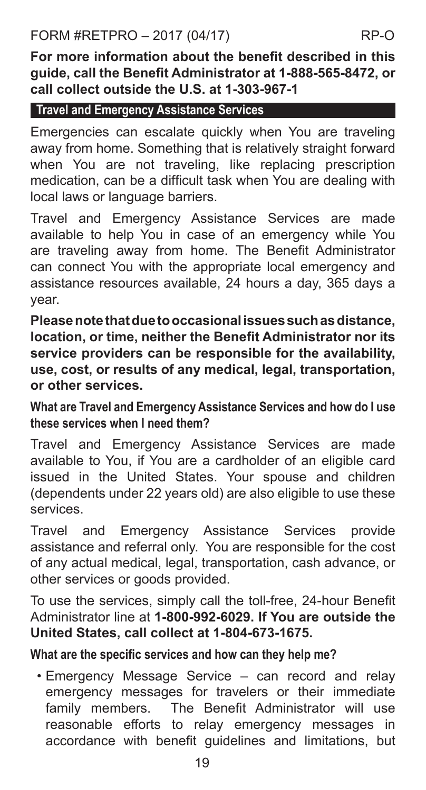**For more information about the benefit described in this guide, call the Benefit Administrator at 1-888-565-8472, or call collect outside the U.S. at 1-303-967-1**

#### **Travel and Emergency Assistance Services**

Emergencies can escalate quickly when You are traveling away from home. Something that is relatively straight forward when You are not traveling, like replacing prescription medication, can be a difficult task when You are dealing with local laws or language barriers.

Travel and Emergency Assistance Services are made available to help You in case of an emergency while You are traveling away from home. The Benefit Administrator can connect You with the appropriate local emergency and assistance resources available, 24 hours a day, 365 days a year.

**Please note that due to occasional issues such as distance, location, or time, neither the Benefit Administrator nor its service providers can be responsible for the availability, use, cost, or results of any medical, legal, transportation, or other services.** 

**What are Travel and Emergency Assistance Services and how do I use these services when I need them?**

Travel and Emergency Assistance Services are made available to You, if You are a cardholder of an eligible card issued in the United States. Your spouse and children (dependents under 22 years old) are also eligible to use these services.

Travel and Emergency Assistance Services provide assistance and referral only. You are responsible for the cost of any actual medical, legal, transportation, cash advance, or other services or goods provided.

To use the services, simply call the toll-free, 24-hour Benefit Administrator line at **1-800-992-6029. If You are outside the United States, call collect at 1-804-673-1675.** 

#### **What are the specific services and how can they help me?**

• Emergency Message Service – can record and relay emergency messages for travelers or their immediate family members. The Benefit Administrator will use reasonable efforts to relay emergency messages in accordance with benefit guidelines and limitations, but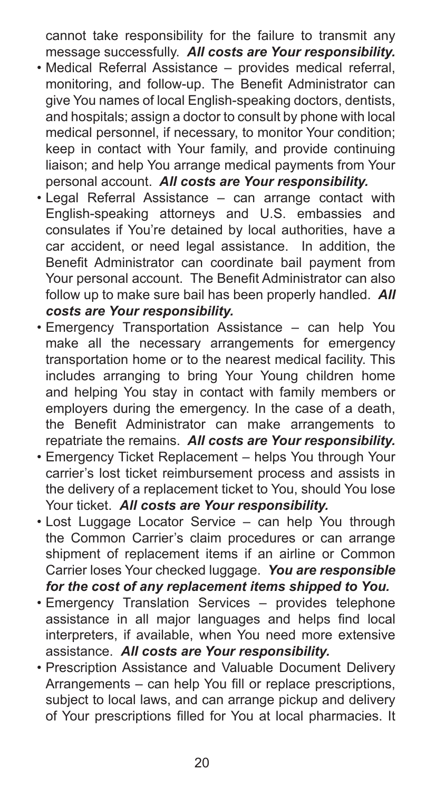cannot take responsibility for the failure to transmit any message successfully. *All costs are Your responsibility.*

- Medical Referral Assistance provides medical referral, monitoring, and follow-up. The Benefit Administrator can give You names of local English-speaking doctors, dentists, and hospitals; assign a doctor to consult by phone with local medical personnel, if necessary, to monitor Your condition; keep in contact with Your family, and provide continuing liaison; and help You arrange medical payments from Your personal account. *All costs are Your responsibility.*
- Legal Referral Assistance can arrange contact with English-speaking attorneys and U.S. embassies and consulates if You're detained by local authorities, have a car accident, or need legal assistance. In addition, the Benefit Administrator can coordinate bail payment from Your personal account. The Benefit Administrator can also follow up to make sure bail has been properly handled. *All costs are Your responsibility.*
- Emergency Transportation Assistance can help You make all the necessary arrangements for emergency transportation home or to the nearest medical facility. This includes arranging to bring Your Young children home and helping You stay in contact with family members or employers during the emergency. In the case of a death, the Benefit Administrator can make arrangements to repatriate the remains. *All costs are Your responsibility.*
- Emergency Ticket Replacement helps You through Your carrier's lost ticket reimbursement process and assists in the delivery of a replacement ticket to You, should You lose Your ticket. *All costs are Your responsibility.*
- Lost Luggage Locator Service can help You through the Common Carrier's claim procedures or can arrange shipment of replacement items if an airline or Common Carrier loses Your checked luggage. *You are responsible for the cost of any replacement items shipped to You.*
- Emergency Translation Services provides telephone assistance in all major languages and helps find local interpreters, if available, when You need more extensive assistance. *All costs are Your responsibility.*
- Prescription Assistance and Valuable Document Delivery Arrangements – can help You fill or replace prescriptions, subject to local laws, and can arrange pickup and delivery of Your prescriptions filled for You at local pharmacies. It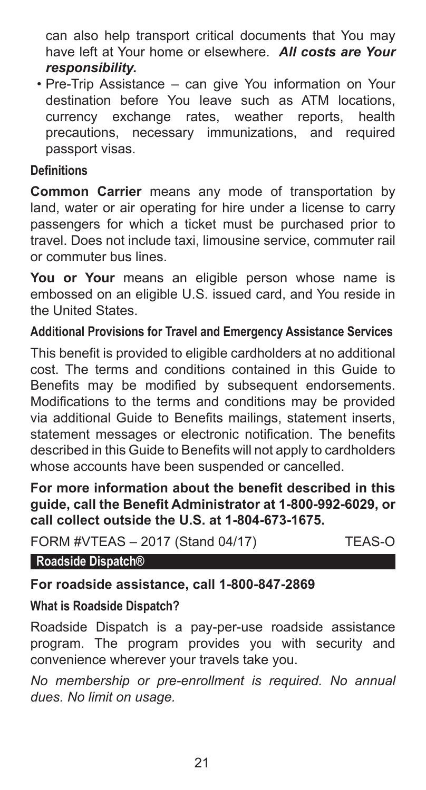can also help transport critical documents that You may have left at Your home or elsewhere. *All costs are Your responsibility.*

• Pre-Trip Assistance – can give You information on Your destination before You leave such as ATM locations, currency exchange rates, weather reports, health precautions, necessary immunizations, and required passport visas.

#### **Definitions**

**Common Carrier** means any mode of transportation by land, water or air operating for hire under a license to carry passengers for which a ticket must be purchased prior to travel. Does not include taxi, limousine service, commuter rail or commuter bus lines.

**You or Your** means an eligible person whose name is embossed on an eligible U.S. issued card, and You reside in the United States.

#### **Additional Provisions for Travel and Emergency Assistance Services**

This benefit is provided to eligible cardholders at no additional cost. The terms and conditions contained in this Guide to Benefits may be modified by subsequent endorsements. Modifications to the terms and conditions may be provided via additional Guide to Benefits mailings, statement inserts, statement messages or electronic notification. The benefits described in this Guide to Benefits will not apply to cardholders whose accounts have been suspended or cancelled.

**For more information about the benefit described in this guide, call the Benefit Administrator at 1-800-992-6029, or call collect outside the U.S. at 1-804-673-1675.**

FORM #VTEAS – 2017 (Stand 04/17) TEAS-O

**Roadside Dispatch®**

**For roadside assistance, call 1-800-847-2869**

#### **What is Roadside Dispatch?**

Roadside Dispatch is a pay-per-use roadside assistance program. The program provides you with security and convenience wherever your travels take you.

*No membership or pre-enrollment is required. No annual dues. No limit on usage.*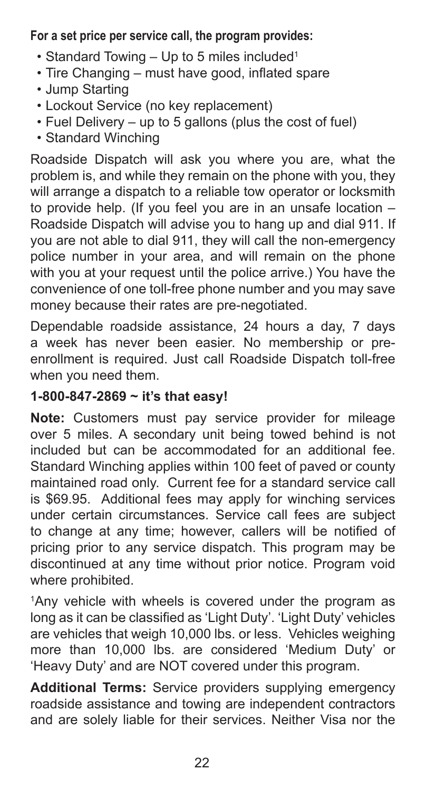### **For a set price per service call, the program provides:**

- Standard Towing  $-$  Up to 5 miles included<sup>1</sup>
- Tire Changing must have good, inflated spare
- Jump Starting
- Lockout Service (no key replacement)
- Fuel Delivery up to 5 gallons (plus the cost of fuel)
- Standard Winching

Roadside Dispatch will ask you where you are, what the problem is, and while they remain on the phone with you, they will arrange a dispatch to a reliable tow operator or locksmith to provide help. (If you feel you are in an unsafe location – Roadside Dispatch will advise you to hang up and dial 911. If you are not able to dial 911, they will call the non-emergency police number in your area, and will remain on the phone with you at your request until the police arrive.) You have the convenience of one toll-free phone number and you may save money because their rates are pre-negotiated.

Dependable roadside assistance, 24 hours a day, 7 days a week has never been easier. No membership or preenrollment is required. Just call Roadside Dispatch toll-free when you need them.

#### **1-800-847-2869 ~ it's that easy!**

**Note:** Customers must pay service provider for mileage over 5 miles. A secondary unit being towed behind is not included but can be accommodated for an additional fee. Standard Winching applies within 100 feet of paved or county maintained road only. Current fee for a standard service call is \$69.95. Additional fees may apply for winching services under certain circumstances. Service call fees are subject to change at any time; however, callers will be notified of pricing prior to any service dispatch. This program may be discontinued at any time without prior notice. Program void where prohibited.

1 Any vehicle with wheels is covered under the program as long as it can be classified as 'Light Duty'. 'Light Duty' vehicles are vehicles that weigh 10,000 lbs. or less. Vehicles weighing more than 10,000 lbs. are considered 'Medium Duty' or 'Heavy Duty' and are NOT covered under this program.

**Additional Terms:** Service providers supplying emergency roadside assistance and towing are independent contractors and are solely liable for their services. Neither Visa nor the